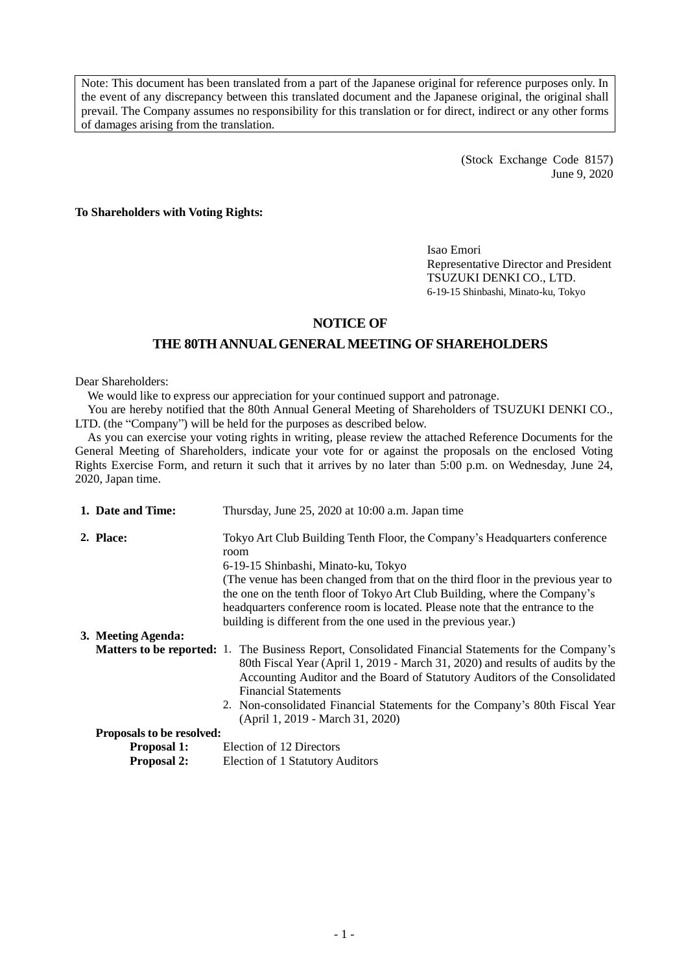Note: This document has been translated from a part of the Japanese original for reference purposes only. In the event of any discrepancy between this translated document and the Japanese original, the original shall prevail. The Company assumes no responsibility for this translation or for direct, indirect or any other forms of damages arising from the translation.

> (Stock Exchange Code 8157) June 9, 2020

**To Shareholders with Voting Rights:**

Isao Emori Representative Director and President TSUZUKI DENKI CO., LTD. 6-19-15 Shinbashi, Minato-ku, Tokyo

# **NOTICE OF**

## **THE 80TH ANNUAL GENERAL MEETING OF SHAREHOLDERS**

Dear Shareholders:

We would like to express our appreciation for your continued support and patronage.

You are hereby notified that the 80th Annual General Meeting of Shareholders of TSUZUKI DENKI CO., LTD. (the "Company") will be held for the purposes as described below.

As you can exercise your voting rights in writing, please review the attached Reference Documents for the General Meeting of Shareholders, indicate your vote for or against the proposals on the enclosed Voting Rights Exercise Form, and return it such that it arrives by no later than 5:00 p.m. on Wednesday, June 24, 2020, Japan time.

| 1. Date and Time:                | Thursday, June 25, 2020 at 10:00 a.m. Japan time                                                                                                                                                                                                                                                                                                                                                                                               |
|----------------------------------|------------------------------------------------------------------------------------------------------------------------------------------------------------------------------------------------------------------------------------------------------------------------------------------------------------------------------------------------------------------------------------------------------------------------------------------------|
| 2. Place:                        | Tokyo Art Club Building Tenth Floor, the Company's Headquarters conference<br>room<br>6-19-15 Shinbashi, Minato-ku, Tokyo<br>(The venue has been changed from that on the third floor in the previous year to<br>the one on the tenth floor of Tokyo Art Club Building, where the Company's<br>headquarters conference room is located. Please note that the entrance to the<br>building is different from the one used in the previous year.) |
| 3. Meeting Agenda:               |                                                                                                                                                                                                                                                                                                                                                                                                                                                |
|                                  | <b>Matters to be reported:</b> 1. The Business Report, Consolidated Financial Statements for the Company's<br>80th Fiscal Year (April 1, 2019 - March 31, 2020) and results of audits by the<br>Accounting Auditor and the Board of Statutory Auditors of the Consolidated<br><b>Financial Statements</b><br>2. Non-consolidated Financial Statements for the Company's 80th Fiscal Year<br>(April 1, 2019 - March 31, 2020)                   |
| <b>Proposals to be resolved:</b> |                                                                                                                                                                                                                                                                                                                                                                                                                                                |
| <b>Proposal 1:</b>               | Election of 12 Directors                                                                                                                                                                                                                                                                                                                                                                                                                       |

**Proposal 2:** Election of 1 Statutory Auditors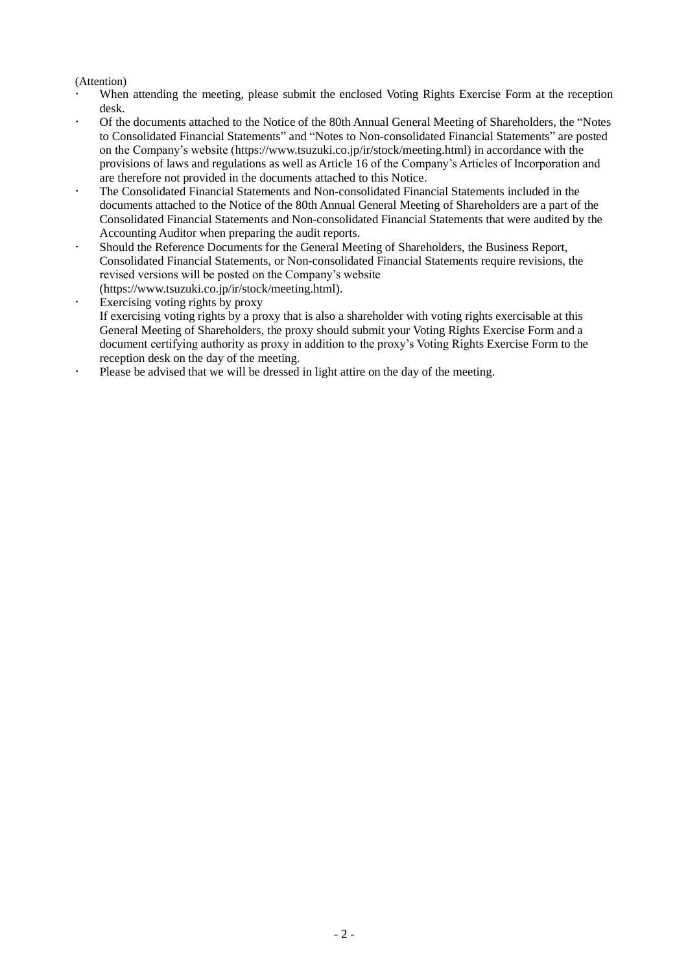## (Attention)

- When attending the meeting, please submit the enclosed Voting Rights Exercise Form at the reception desk.
- Of the documents attached to the Notice of the 80th Annual General Meeting of Shareholders, the "Notes to Consolidated Financial Statements" and "Notes to Non-consolidated Financial Statements" are posted on the Company's website (https://www.tsuzuki.co.jp/ir/stock/meeting.html) in accordance with the provisions of laws and regulations as well as Article 16 of the Company's Articles of Incorporation and are therefore not provided in the documents attached to this Notice.
- The Consolidated Financial Statements and Non-consolidated Financial Statements included in the documents attached to the Notice of the 80th Annual General Meeting of Shareholders are a part of the Consolidated Financial Statements and Non-consolidated Financial Statements that were audited by the Accounting Auditor when preparing the audit reports.
- Should the Reference Documents for the General Meeting of Shareholders, the Business Report, Consolidated Financial Statements, or Non-consolidated Financial Statements require revisions, the revised versions will be posted on the Company's website
- (https://www.tsuzuki.co.jp/ir/stock/meeting.html).
- Exercising voting rights by proxy If exercising voting rights by a proxy that is also a shareholder with voting rights exercisable at this General Meeting of Shareholders, the proxy should submit your Voting Rights Exercise Form and a document certifying authority as proxy in addition to the proxy's Voting Rights Exercise Form to the reception desk on the day of the meeting.
- Please be advised that we will be dressed in light attire on the day of the meeting.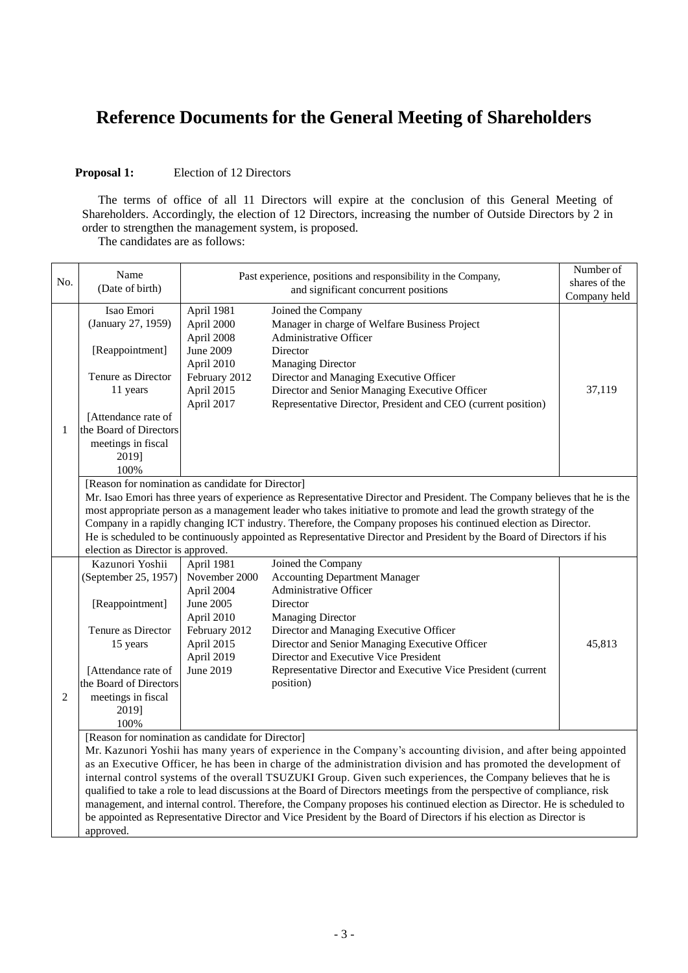# **Reference Documents for the General Meeting of Shareholders**

#### **Proposal 1:** Election of 12 Directors

The terms of office of all 11 Directors will expire at the conclusion of this General Meeting of Shareholders. Accordingly, the election of 12 Directors, increasing the number of Outside Directors by 2 in order to strengthen the management system, is proposed.

The candidates are as follows:

| No.                                                                                                                    | Name<br>(Date of birth)                                                                                           |                                                                                                                     | Past experience, positions and responsibility in the Company,<br>and significant concurrent positions                      | Number of<br>shares of the<br>Company held |  |  |  |
|------------------------------------------------------------------------------------------------------------------------|-------------------------------------------------------------------------------------------------------------------|---------------------------------------------------------------------------------------------------------------------|----------------------------------------------------------------------------------------------------------------------------|--------------------------------------------|--|--|--|
|                                                                                                                        | Isao Emori                                                                                                        | April 1981                                                                                                          | Joined the Company                                                                                                         |                                            |  |  |  |
|                                                                                                                        | (January 27, 1959)                                                                                                | April 2000                                                                                                          | Manager in charge of Welfare Business Project                                                                              |                                            |  |  |  |
|                                                                                                                        |                                                                                                                   | April 2008                                                                                                          | Administrative Officer                                                                                                     |                                            |  |  |  |
|                                                                                                                        | [Reappointment]                                                                                                   | June 2009                                                                                                           | Director                                                                                                                   |                                            |  |  |  |
|                                                                                                                        |                                                                                                                   | April 2010                                                                                                          | <b>Managing Director</b>                                                                                                   |                                            |  |  |  |
|                                                                                                                        | Tenure as Director                                                                                                | February 2012                                                                                                       | Director and Managing Executive Officer                                                                                    |                                            |  |  |  |
|                                                                                                                        | 11 years                                                                                                          | April 2015                                                                                                          | Director and Senior Managing Executive Officer                                                                             | 37,119                                     |  |  |  |
|                                                                                                                        |                                                                                                                   | April 2017                                                                                                          | Representative Director, President and CEO (current position)                                                              |                                            |  |  |  |
|                                                                                                                        | [Attendance rate of                                                                                               |                                                                                                                     |                                                                                                                            |                                            |  |  |  |
| 1                                                                                                                      | the Board of Directors                                                                                            |                                                                                                                     |                                                                                                                            |                                            |  |  |  |
|                                                                                                                        | meetings in fiscal                                                                                                |                                                                                                                     |                                                                                                                            |                                            |  |  |  |
|                                                                                                                        | 2019]                                                                                                             |                                                                                                                     |                                                                                                                            |                                            |  |  |  |
|                                                                                                                        | 100%                                                                                                              |                                                                                                                     |                                                                                                                            |                                            |  |  |  |
|                                                                                                                        | [Reason for nomination as candidate for Director]                                                                 |                                                                                                                     |                                                                                                                            |                                            |  |  |  |
|                                                                                                                        |                                                                                                                   |                                                                                                                     | Mr. Isao Emori has three years of experience as Representative Director and President. The Company believes that he is the |                                            |  |  |  |
|                                                                                                                        |                                                                                                                   |                                                                                                                     | most appropriate person as a management leader who takes initiative to promote and lead the growth strategy of the         |                                            |  |  |  |
|                                                                                                                        | Company in a rapidly changing ICT industry. Therefore, the Company proposes his continued election as Director.   |                                                                                                                     |                                                                                                                            |                                            |  |  |  |
| He is scheduled to be continuously appointed as Representative Director and President by the Board of Directors if his |                                                                                                                   |                                                                                                                     |                                                                                                                            |                                            |  |  |  |
|                                                                                                                        | election as Director is approved.                                                                                 |                                                                                                                     |                                                                                                                            |                                            |  |  |  |
|                                                                                                                        | Kazunori Yoshii                                                                                                   | April 1981                                                                                                          | Joined the Company                                                                                                         |                                            |  |  |  |
|                                                                                                                        | (September 25, 1957)                                                                                              | November 2000                                                                                                       | <b>Accounting Department Manager</b>                                                                                       |                                            |  |  |  |
|                                                                                                                        |                                                                                                                   | April 2004                                                                                                          | Administrative Officer                                                                                                     |                                            |  |  |  |
|                                                                                                                        | [Reappointment]                                                                                                   | June 2005                                                                                                           | Director                                                                                                                   |                                            |  |  |  |
|                                                                                                                        |                                                                                                                   | April 2010                                                                                                          | <b>Managing Director</b>                                                                                                   |                                            |  |  |  |
|                                                                                                                        | Tenure as Director                                                                                                | February 2012                                                                                                       | Director and Managing Executive Officer                                                                                    |                                            |  |  |  |
|                                                                                                                        | 15 years                                                                                                          | April 2015                                                                                                          | Director and Senior Managing Executive Officer                                                                             | 45,813                                     |  |  |  |
|                                                                                                                        |                                                                                                                   | April 2019                                                                                                          | Director and Executive Vice President                                                                                      |                                            |  |  |  |
|                                                                                                                        | [Attendance rate of                                                                                               | June 2019                                                                                                           | Representative Director and Executive Vice President (current                                                              |                                            |  |  |  |
|                                                                                                                        | the Board of Directors                                                                                            |                                                                                                                     | position)                                                                                                                  |                                            |  |  |  |
| $\overline{2}$                                                                                                         | meetings in fiscal                                                                                                |                                                                                                                     |                                                                                                                            |                                            |  |  |  |
|                                                                                                                        | 2019]                                                                                                             |                                                                                                                     |                                                                                                                            |                                            |  |  |  |
|                                                                                                                        | 100%                                                                                                              |                                                                                                                     |                                                                                                                            |                                            |  |  |  |
|                                                                                                                        | [Reason for nomination as candidate for Director]                                                                 |                                                                                                                     |                                                                                                                            |                                            |  |  |  |
|                                                                                                                        |                                                                                                                   |                                                                                                                     | Mr. Kazunori Yoshii has many years of experience in the Company's accounting division, and after being appointed           |                                            |  |  |  |
|                                                                                                                        | as an Executive Officer, he has been in charge of the administration division and has promoted the development of |                                                                                                                     |                                                                                                                            |                                            |  |  |  |
|                                                                                                                        |                                                                                                                   | internal control systems of the overall TSUZUKI Group. Given such experiences, the Company believes that he is      |                                                                                                                            |                                            |  |  |  |
|                                                                                                                        |                                                                                                                   |                                                                                                                     | qualified to take a role to lead discussions at the Board of Directors meetings from the perspective of compliance, risk   |                                            |  |  |  |
|                                                                                                                        |                                                                                                                   |                                                                                                                     | management, and internal control. Therefore, the Company proposes his continued election as Director. He is scheduled to   |                                            |  |  |  |
|                                                                                                                        |                                                                                                                   | be appointed as Representative Director and Vice President by the Board of Directors if his election as Director is |                                                                                                                            |                                            |  |  |  |
|                                                                                                                        | approved.                                                                                                         |                                                                                                                     |                                                                                                                            |                                            |  |  |  |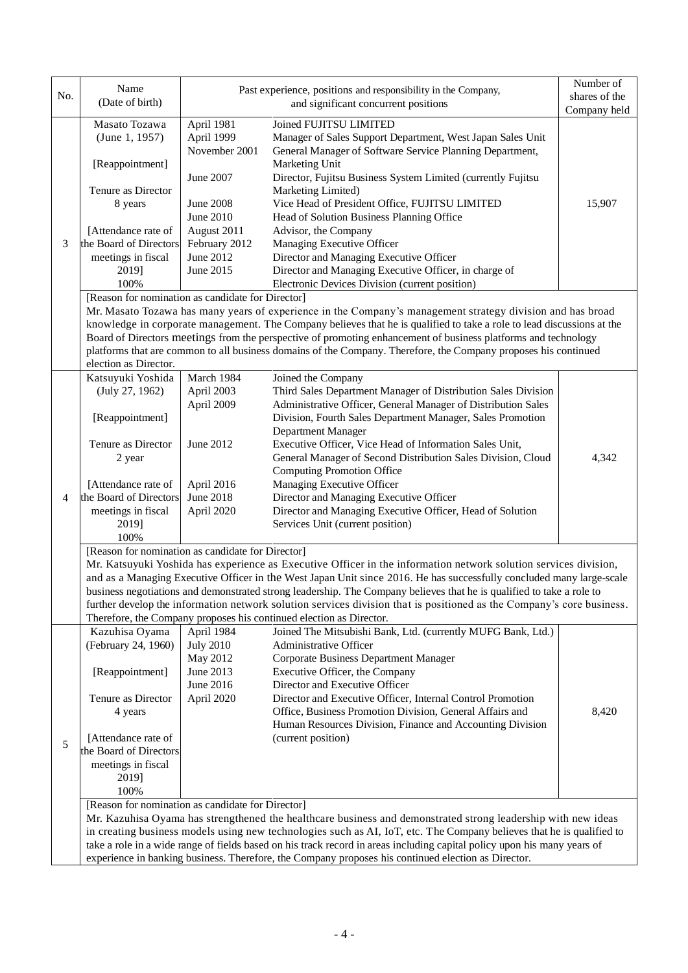| No. | Name<br>(Date of birth)                                                                                                                                                                                                                        |                                           | Past experience, positions and responsibility in the Company,<br>and significant concurrent positions                                                                                                                                  | Number of<br>shares of the<br>Company held |  |  |
|-----|------------------------------------------------------------------------------------------------------------------------------------------------------------------------------------------------------------------------------------------------|-------------------------------------------|----------------------------------------------------------------------------------------------------------------------------------------------------------------------------------------------------------------------------------------|--------------------------------------------|--|--|
|     | Masato Tozawa<br>(June 1, 1957)                                                                                                                                                                                                                | April 1981<br>April 1999<br>November 2001 | Joined FUJITSU LIMITED<br>Manager of Sales Support Department, West Japan Sales Unit<br>General Manager of Software Service Planning Department,                                                                                       |                                            |  |  |
|     | [Reappointment]                                                                                                                                                                                                                                | June 2007                                 | Marketing Unit<br>Director, Fujitsu Business System Limited (currently Fujitsu                                                                                                                                                         |                                            |  |  |
|     | Tenure as Director                                                                                                                                                                                                                             |                                           | Marketing Limited)                                                                                                                                                                                                                     |                                            |  |  |
|     | 8 years                                                                                                                                                                                                                                        | <b>June 2008</b>                          | Vice Head of President Office, FUJITSU LIMITED                                                                                                                                                                                         | 15,907                                     |  |  |
|     |                                                                                                                                                                                                                                                | June 2010                                 | Head of Solution Business Planning Office                                                                                                                                                                                              |                                            |  |  |
|     | [Attendance rate of                                                                                                                                                                                                                            | August 2011                               | Advisor, the Company                                                                                                                                                                                                                   |                                            |  |  |
| 3   | the Board of Directors                                                                                                                                                                                                                         | February 2012                             | Managing Executive Officer                                                                                                                                                                                                             |                                            |  |  |
|     | meetings in fiscal                                                                                                                                                                                                                             | June 2012                                 | Director and Managing Executive Officer                                                                                                                                                                                                |                                            |  |  |
|     | 2019]<br>100%                                                                                                                                                                                                                                  | June 2015                                 | Director and Managing Executive Officer, in charge of<br>Electronic Devices Division (current position)                                                                                                                                |                                            |  |  |
|     | [Reason for nomination as candidate for Director]                                                                                                                                                                                              |                                           |                                                                                                                                                                                                                                        |                                            |  |  |
|     |                                                                                                                                                                                                                                                |                                           | Mr. Masato Tozawa has many years of experience in the Company's management strategy division and has broad                                                                                                                             |                                            |  |  |
|     |                                                                                                                                                                                                                                                |                                           | knowledge in corporate management. The Company believes that he is qualified to take a role to lead discussions at the                                                                                                                 |                                            |  |  |
|     |                                                                                                                                                                                                                                                |                                           | Board of Directors meetings from the perspective of promoting enhancement of business platforms and technology                                                                                                                         |                                            |  |  |
|     |                                                                                                                                                                                                                                                |                                           | platforms that are common to all business domains of the Company. Therefore, the Company proposes his continued                                                                                                                        |                                            |  |  |
|     | election as Director.                                                                                                                                                                                                                          |                                           |                                                                                                                                                                                                                                        |                                            |  |  |
|     | Katsuyuki Yoshida                                                                                                                                                                                                                              | March 1984                                | Joined the Company                                                                                                                                                                                                                     |                                            |  |  |
|     | (July 27, 1962)                                                                                                                                                                                                                                | April 2003                                | Third Sales Department Manager of Distribution Sales Division                                                                                                                                                                          |                                            |  |  |
|     |                                                                                                                                                                                                                                                | April 2009                                | Administrative Officer, General Manager of Distribution Sales<br>Division, Fourth Sales Department Manager, Sales Promotion                                                                                                            |                                            |  |  |
|     | [Reappointment]                                                                                                                                                                                                                                |                                           | Department Manager                                                                                                                                                                                                                     |                                            |  |  |
|     | Tenure as Director                                                                                                                                                                                                                             | June 2012                                 | Executive Officer, Vice Head of Information Sales Unit,                                                                                                                                                                                |                                            |  |  |
|     | 2 year                                                                                                                                                                                                                                         |                                           | General Manager of Second Distribution Sales Division, Cloud                                                                                                                                                                           | 4,342                                      |  |  |
|     |                                                                                                                                                                                                                                                |                                           | <b>Computing Promotion Office</b>                                                                                                                                                                                                      |                                            |  |  |
|     | [Attendance rate of                                                                                                                                                                                                                            | April 2016                                | Managing Executive Officer                                                                                                                                                                                                             |                                            |  |  |
| 4   | the Board of Directors                                                                                                                                                                                                                         | June 2018                                 | Director and Managing Executive Officer                                                                                                                                                                                                |                                            |  |  |
|     | meetings in fiscal                                                                                                                                                                                                                             | April 2020                                | Director and Managing Executive Officer, Head of Solution                                                                                                                                                                              |                                            |  |  |
|     | 2019]                                                                                                                                                                                                                                          |                                           | Services Unit (current position)                                                                                                                                                                                                       |                                            |  |  |
|     | 100%                                                                                                                                                                                                                                           |                                           |                                                                                                                                                                                                                                        |                                            |  |  |
|     | [Reason for nomination as candidate for Director]                                                                                                                                                                                              |                                           |                                                                                                                                                                                                                                        |                                            |  |  |
|     | Mr. Katsuyuki Yoshida has experience as Executive Officer in the information network solution services division,                                                                                                                               |                                           |                                                                                                                                                                                                                                        |                                            |  |  |
|     | and as a Managing Executive Officer in the West Japan Unit since 2016. He has successfully concluded many large-scale<br>business negotiations and demonstrated strong leadership. The Company believes that he is qualified to take a role to |                                           |                                                                                                                                                                                                                                        |                                            |  |  |
|     |                                                                                                                                                                                                                                                |                                           | further develop the information network solution services division that is positioned as the Company's core business.                                                                                                                  |                                            |  |  |
|     |                                                                                                                                                                                                                                                |                                           | Therefore, the Company proposes his continued election as Director.                                                                                                                                                                    |                                            |  |  |
|     | Kazuhisa Oyama                                                                                                                                                                                                                                 | April 1984                                | Joined The Mitsubishi Bank, Ltd. (currently MUFG Bank, Ltd.)                                                                                                                                                                           |                                            |  |  |
|     | (February 24, 1960)                                                                                                                                                                                                                            | <b>July 2010</b>                          | Administrative Officer                                                                                                                                                                                                                 |                                            |  |  |
|     |                                                                                                                                                                                                                                                | May 2012                                  | Corporate Business Department Manager                                                                                                                                                                                                  |                                            |  |  |
|     | [Reappointment]                                                                                                                                                                                                                                | June 2013<br>June 2016                    | Executive Officer, the Company                                                                                                                                                                                                         |                                            |  |  |
|     | Tenure as Director                                                                                                                                                                                                                             | April 2020                                | Director and Executive Officer<br>Director and Executive Officer, Internal Control Promotion                                                                                                                                           |                                            |  |  |
|     | 4 years                                                                                                                                                                                                                                        |                                           | Office, Business Promotion Division, General Affairs and                                                                                                                                                                               | 8,420                                      |  |  |
|     |                                                                                                                                                                                                                                                |                                           | Human Resources Division, Finance and Accounting Division                                                                                                                                                                              |                                            |  |  |
|     | [Attendance rate of                                                                                                                                                                                                                            |                                           | (current position)                                                                                                                                                                                                                     |                                            |  |  |
| 5   | the Board of Directors                                                                                                                                                                                                                         |                                           |                                                                                                                                                                                                                                        |                                            |  |  |
|     | meetings in fiscal                                                                                                                                                                                                                             |                                           |                                                                                                                                                                                                                                        |                                            |  |  |
|     | 2019]                                                                                                                                                                                                                                          |                                           |                                                                                                                                                                                                                                        |                                            |  |  |
|     | 100%                                                                                                                                                                                                                                           |                                           |                                                                                                                                                                                                                                        |                                            |  |  |
|     | [Reason for nomination as candidate for Director]                                                                                                                                                                                              |                                           |                                                                                                                                                                                                                                        |                                            |  |  |
|     |                                                                                                                                                                                                                                                |                                           | Mr. Kazuhisa Oyama has strengthened the healthcare business and demonstrated strong leadership with new ideas<br>in creating business models using new technologies such as AI, IoT, etc. The Company believes that he is qualified to |                                            |  |  |
|     |                                                                                                                                                                                                                                                |                                           | take a role in a wide range of fields based on his track record in areas including capital policy upon his many years of                                                                                                               |                                            |  |  |
|     |                                                                                                                                                                                                                                                |                                           | experience in banking business. Therefore, the Company proposes his continued election as Director.                                                                                                                                    |                                            |  |  |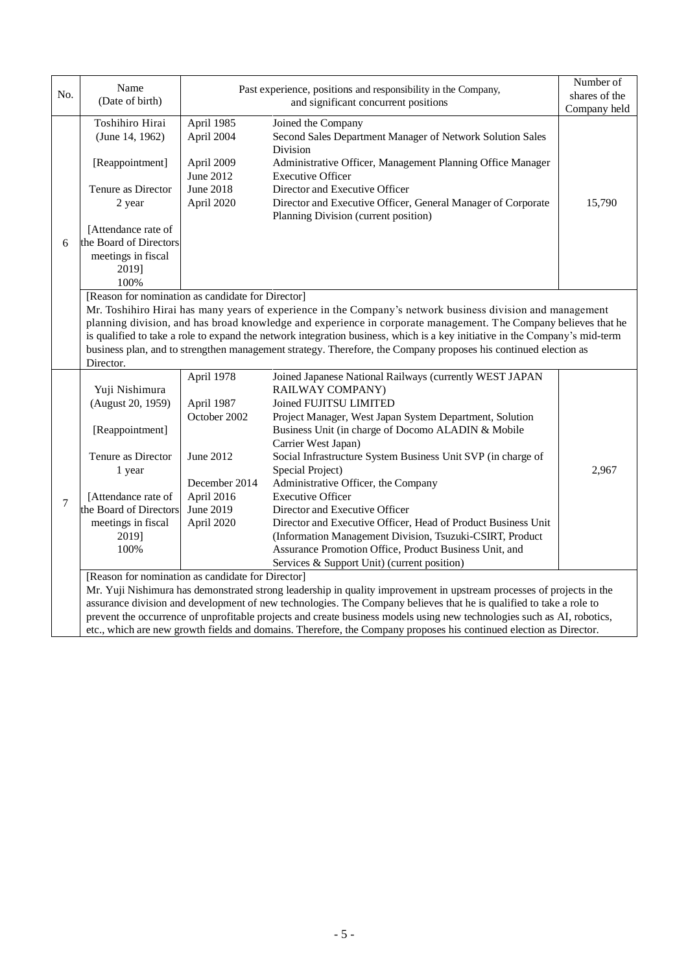| No. | Name<br>(Date of birth)                                                                                                                                                                                                                        |                                | Past experience, positions and responsibility in the Company,<br>and significant concurrent positions                   | Number of<br>shares of the<br>Company held |  |  |
|-----|------------------------------------------------------------------------------------------------------------------------------------------------------------------------------------------------------------------------------------------------|--------------------------------|-------------------------------------------------------------------------------------------------------------------------|--------------------------------------------|--|--|
|     | Toshihiro Hirai<br>(June 14, 1962)                                                                                                                                                                                                             | April 1985<br>April 2004       | Joined the Company<br>Second Sales Department Manager of Network Solution Sales<br>Division                             |                                            |  |  |
|     | [Reappointment]                                                                                                                                                                                                                                | April 2009                     | Administrative Officer, Management Planning Office Manager                                                              |                                            |  |  |
|     |                                                                                                                                                                                                                                                | June 2012                      | <b>Executive Officer</b>                                                                                                |                                            |  |  |
|     | Tenure as Director<br>2 year                                                                                                                                                                                                                   | <b>June 2018</b><br>April 2020 | Director and Executive Officer<br>Director and Executive Officer, General Manager of Corporate                          | 15,790                                     |  |  |
|     |                                                                                                                                                                                                                                                |                                | Planning Division (current position)                                                                                    |                                            |  |  |
|     | [Attendance rate of                                                                                                                                                                                                                            |                                |                                                                                                                         |                                            |  |  |
| 6   | the Board of Directors                                                                                                                                                                                                                         |                                |                                                                                                                         |                                            |  |  |
|     | meetings in fiscal                                                                                                                                                                                                                             |                                |                                                                                                                         |                                            |  |  |
|     | 2019]                                                                                                                                                                                                                                          |                                |                                                                                                                         |                                            |  |  |
|     | 100%                                                                                                                                                                                                                                           |                                |                                                                                                                         |                                            |  |  |
|     | [Reason for nomination as candidate for Director]                                                                                                                                                                                              |                                |                                                                                                                         |                                            |  |  |
|     |                                                                                                                                                                                                                                                |                                | Mr. Toshihiro Hirai has many years of experience in the Company's network business division and management              |                                            |  |  |
|     | planning division, and has broad knowledge and experience in corporate management. The Company believes that he                                                                                                                                |                                |                                                                                                                         |                                            |  |  |
|     | is qualified to take a role to expand the network integration business, which is a key initiative in the Company's mid-term<br>business plan, and to strengthen management strategy. Therefore, the Company proposes his continued election as |                                |                                                                                                                         |                                            |  |  |
|     | Director.                                                                                                                                                                                                                                      |                                |                                                                                                                         |                                            |  |  |
|     |                                                                                                                                                                                                                                                | April 1978                     | Joined Japanese National Railways (currently WEST JAPAN                                                                 |                                            |  |  |
|     | Yuji Nishimura                                                                                                                                                                                                                                 |                                | RAILWAY COMPANY)                                                                                                        |                                            |  |  |
|     | (August 20, 1959)                                                                                                                                                                                                                              | April 1987                     | Joined FUJITSU LIMITED                                                                                                  |                                            |  |  |
|     |                                                                                                                                                                                                                                                | October 2002                   | Project Manager, West Japan System Department, Solution                                                                 |                                            |  |  |
|     | [Reappointment]                                                                                                                                                                                                                                |                                | Business Unit (in charge of Docomo ALADIN & Mobile                                                                      |                                            |  |  |
|     |                                                                                                                                                                                                                                                |                                | Carrier West Japan)                                                                                                     |                                            |  |  |
|     | Tenure as Director                                                                                                                                                                                                                             | June 2012                      | Social Infrastructure System Business Unit SVP (in charge of                                                            |                                            |  |  |
|     | 1 year                                                                                                                                                                                                                                         |                                | Special Project)                                                                                                        | 2,967                                      |  |  |
|     |                                                                                                                                                                                                                                                | December 2014                  | Administrative Officer, the Company                                                                                     |                                            |  |  |
| 7   | [Attendance rate of<br>the Board of Directors                                                                                                                                                                                                  | April 2016<br>June 2019        | <b>Executive Officer</b><br>Director and Executive Officer                                                              |                                            |  |  |
|     |                                                                                                                                                                                                                                                |                                | Director and Executive Officer, Head of Product Business Unit                                                           |                                            |  |  |
|     | meetings in fiscal<br>2019]                                                                                                                                                                                                                    | April 2020                     | (Information Management Division, Tsuzuki-CSIRT, Product                                                                |                                            |  |  |
|     | 100%                                                                                                                                                                                                                                           |                                | Assurance Promotion Office, Product Business Unit, and                                                                  |                                            |  |  |
|     |                                                                                                                                                                                                                                                |                                | Services & Support Unit) (current position)                                                                             |                                            |  |  |
|     | [Reason for nomination as candidate for Director]                                                                                                                                                                                              |                                |                                                                                                                         |                                            |  |  |
|     |                                                                                                                                                                                                                                                |                                | Mr. Yuji Nishimura has demonstrated strong leadership in quality improvement in upstream processes of projects in the   |                                            |  |  |
|     |                                                                                                                                                                                                                                                |                                | assurance division and development of new technologies. The Company believes that he is qualified to take a role to     |                                            |  |  |
|     |                                                                                                                                                                                                                                                |                                | prevent the occurrence of unprofitable projects and create business models using new technologies such as AI, robotics, |                                            |  |  |
|     | etc., which are new growth fields and domains. Therefore, the Company proposes his continued election as Director.                                                                                                                             |                                |                                                                                                                         |                                            |  |  |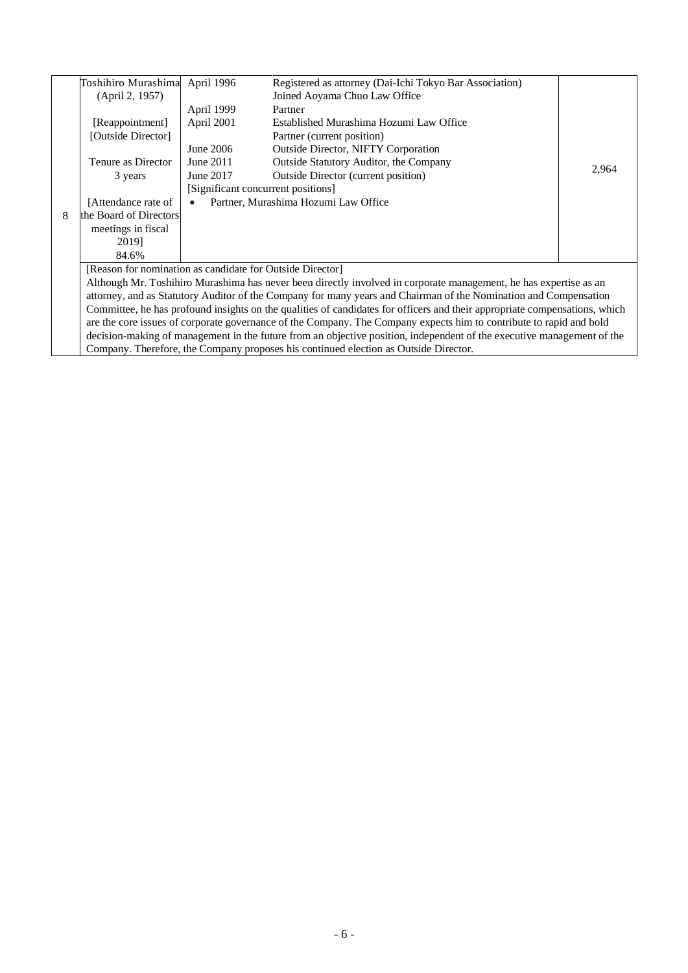|                                                                                                                            | Toshihiro Murashima April 1996                                                                                         |            | Registered as attorney (Dai-Ichi Tokyo Bar Association)                              |       |  |
|----------------------------------------------------------------------------------------------------------------------------|------------------------------------------------------------------------------------------------------------------------|------------|--------------------------------------------------------------------------------------|-------|--|
|                                                                                                                            | (April 2, 1957)                                                                                                        |            | Joined Aoyama Chuo Law Office                                                        |       |  |
|                                                                                                                            |                                                                                                                        | April 1999 | Partner                                                                              |       |  |
|                                                                                                                            | [Reappointment]                                                                                                        | April 2001 | Established Murashima Hozumi Law Office                                              |       |  |
|                                                                                                                            | [Outside Director]                                                                                                     |            | Partner (current position)                                                           |       |  |
|                                                                                                                            |                                                                                                                        | June 2006  | <b>Outside Director, NIFTY Corporation</b>                                           |       |  |
|                                                                                                                            | Tenure as Director                                                                                                     | June 2011  | <b>Outside Statutory Auditor, the Company</b>                                        | 2,964 |  |
|                                                                                                                            | 3 years                                                                                                                | June 2017  | <b>Outside Director (current position)</b>                                           |       |  |
|                                                                                                                            |                                                                                                                        |            | [Significant concurrent positions]                                                   |       |  |
|                                                                                                                            | [Attendance rate of                                                                                                    | $\bullet$  | Partner, Murashima Hozumi Law Office                                                 |       |  |
| 8                                                                                                                          | the Board of Directors                                                                                                 |            |                                                                                      |       |  |
|                                                                                                                            | meetings in fiscal                                                                                                     |            |                                                                                      |       |  |
|                                                                                                                            | 2019]                                                                                                                  |            |                                                                                      |       |  |
|                                                                                                                            | 84.6%                                                                                                                  |            |                                                                                      |       |  |
|                                                                                                                            | [Reason for nomination as candidate for Outside Director]                                                              |            |                                                                                      |       |  |
| Although Mr. Toshihiro Murashima has never been directly involved in corporate management, he has expertise as an          |                                                                                                                        |            |                                                                                      |       |  |
|                                                                                                                            | attorney, and as Statutory Auditor of the Company for many years and Chairman of the Nomination and Compensation       |            |                                                                                      |       |  |
| Committee, he has profound insights on the qualities of candidates for officers and their appropriate compensations, which |                                                                                                                        |            |                                                                                      |       |  |
|                                                                                                                            | are the core issues of corporate governance of the Company. The Company expects him to contribute to rapid and bold    |            |                                                                                      |       |  |
|                                                                                                                            | decision-making of management in the future from an objective position, independent of the executive management of the |            |                                                                                      |       |  |
|                                                                                                                            |                                                                                                                        |            | Company. Therefore, the Company proposes his continued election as Outside Director. |       |  |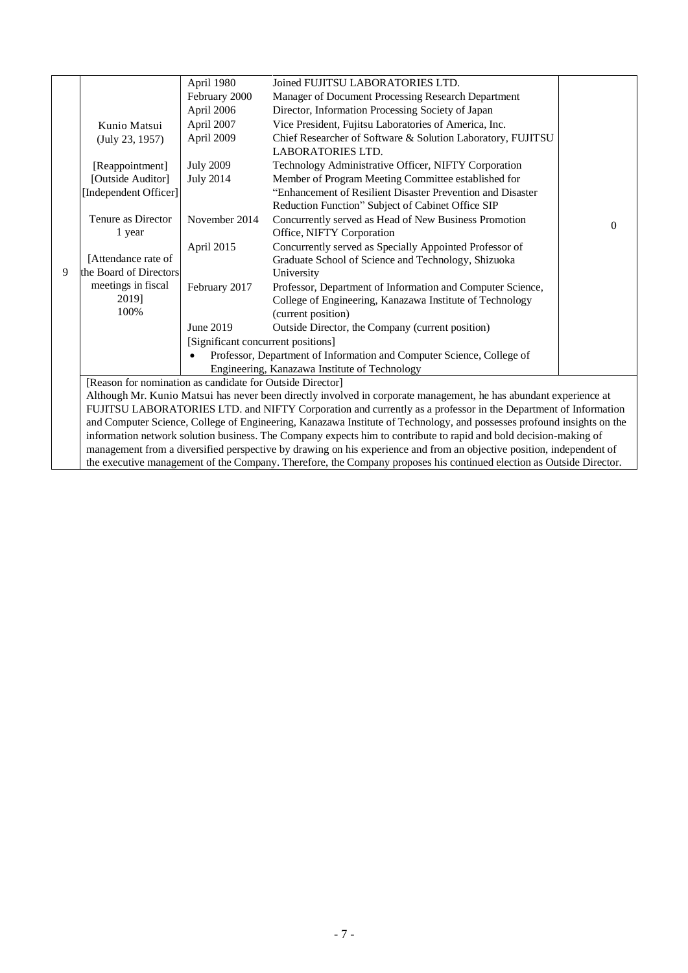|   |                                                                                                                        | April 1980                         | Joined FUJITSU LABORATORIES LTD.                                                                                      |                |
|---|------------------------------------------------------------------------------------------------------------------------|------------------------------------|-----------------------------------------------------------------------------------------------------------------------|----------------|
|   |                                                                                                                        | February 2000                      | Manager of Document Processing Research Department                                                                    |                |
|   |                                                                                                                        | April 2006                         | Director, Information Processing Society of Japan                                                                     |                |
|   | Kunio Matsui                                                                                                           | April 2007                         | Vice President, Fujitsu Laboratories of America, Inc.                                                                 |                |
|   | (July 23, 1957)                                                                                                        | April 2009                         | Chief Researcher of Software & Solution Laboratory, FUJITSU                                                           |                |
|   |                                                                                                                        |                                    | <b>LABORATORIES LTD.</b>                                                                                              |                |
|   | [Reappointment]                                                                                                        | <b>July 2009</b>                   | Technology Administrative Officer, NIFTY Corporation                                                                  |                |
|   | [Outside Auditor]                                                                                                      | <b>July 2014</b>                   | Member of Program Meeting Committee established for                                                                   |                |
|   | [Independent Officer]                                                                                                  |                                    | "Enhancement of Resilient Disaster Prevention and Disaster                                                            |                |
|   |                                                                                                                        |                                    | Reduction Function" Subject of Cabinet Office SIP                                                                     |                |
|   | Tenure as Director                                                                                                     | November 2014                      | Concurrently served as Head of New Business Promotion                                                                 | $\overline{0}$ |
|   | 1 year                                                                                                                 |                                    | Office, NIFTY Corporation                                                                                             |                |
|   |                                                                                                                        | April 2015                         | Concurrently served as Specially Appointed Professor of                                                               |                |
|   | [Attendance rate of                                                                                                    |                                    | Graduate School of Science and Technology, Shizuoka                                                                   |                |
| 9 | the Board of Directors                                                                                                 |                                    | University                                                                                                            |                |
|   | meetings in fiscal                                                                                                     | February 2017                      | Professor, Department of Information and Computer Science,                                                            |                |
|   | 2019]                                                                                                                  |                                    | College of Engineering, Kanazawa Institute of Technology                                                              |                |
|   | 100%                                                                                                                   |                                    | (current position)                                                                                                    |                |
|   |                                                                                                                        | June 2019                          | Outside Director, the Company (current position)                                                                      |                |
|   |                                                                                                                        | [Significant concurrent positions] |                                                                                                                       |                |
|   |                                                                                                                        |                                    | Professor, Department of Information and Computer Science, College of                                                 |                |
|   |                                                                                                                        |                                    | Engineering, Kanazawa Institute of Technology                                                                         |                |
|   | [Reason for nomination as candidate for Outside Director]                                                              |                                    |                                                                                                                       |                |
|   | Although Mr. Kunio Matsui has never been directly involved in corporate management, he has abundant experience at      |                                    |                                                                                                                       |                |
|   | FUJITSU LABORATORIES LTD. and NIFTY Corporation and currently as a professor in the Department of Information          |                                    |                                                                                                                       |                |
|   | and Computer Science, College of Engineering, Kanazawa Institute of Technology, and possesses profound insights on the |                                    |                                                                                                                       |                |
|   |                                                                                                                        |                                    | information network solution business. The Company expects him to contribute to rapid and bold decision-making of     |                |
|   |                                                                                                                        |                                    | management from a diversified perspective by drawing on his experience and from an objective position, independent of |                |
|   |                                                                                                                        |                                    | the executive management of the Company. Therefore, the Company proposes his continued election as Outside Director.  |                |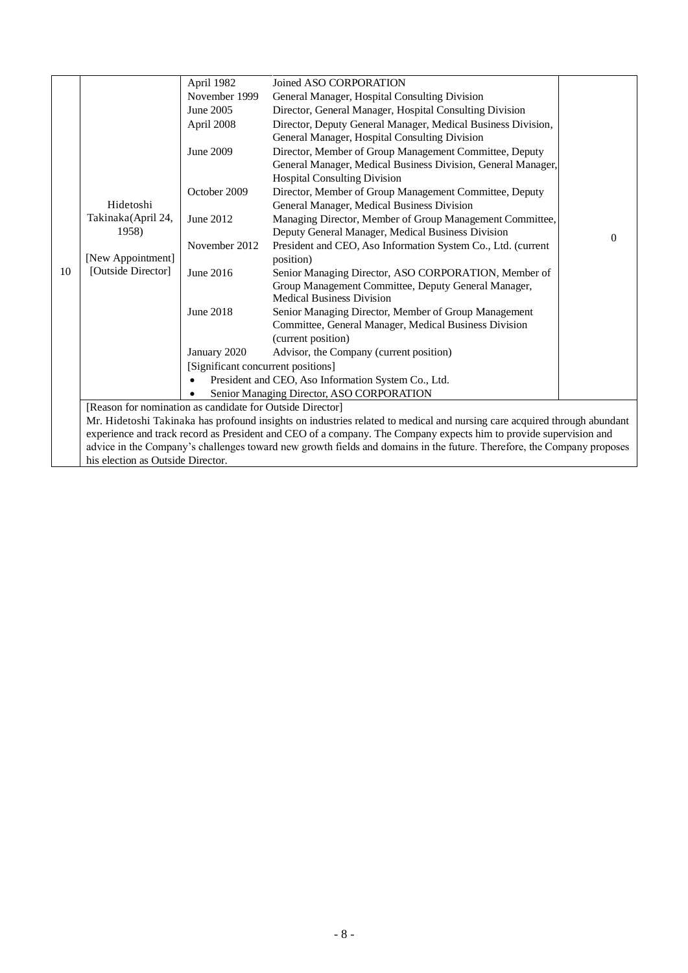|    |                                                           | April 1982                         | Joined ASO CORPORATION                                                                                                   |          |
|----|-----------------------------------------------------------|------------------------------------|--------------------------------------------------------------------------------------------------------------------------|----------|
|    |                                                           | November 1999                      | General Manager, Hospital Consulting Division                                                                            |          |
|    |                                                           | June 2005                          | Director, General Manager, Hospital Consulting Division                                                                  |          |
|    |                                                           | April 2008                         | Director, Deputy General Manager, Medical Business Division,                                                             |          |
|    |                                                           |                                    | General Manager, Hospital Consulting Division                                                                            |          |
|    |                                                           | June 2009                          | Director, Member of Group Management Committee, Deputy                                                                   |          |
|    |                                                           |                                    | General Manager, Medical Business Division, General Manager,<br><b>Hospital Consulting Division</b>                      |          |
|    |                                                           | October 2009                       | Director, Member of Group Management Committee, Deputy                                                                   |          |
|    | Hidetoshi                                                 |                                    | General Manager, Medical Business Division                                                                               |          |
|    | Takinaka(April 24,                                        | June 2012                          | Managing Director, Member of Group Management Committee,                                                                 |          |
|    | 1958)                                                     |                                    | Deputy General Manager, Medical Business Division                                                                        | $\Omega$ |
|    |                                                           | November 2012                      | President and CEO, Aso Information System Co., Ltd. (current                                                             |          |
|    | [New Appointment]                                         |                                    | position)                                                                                                                |          |
| 10 | [Outside Director]                                        | June 2016                          | Senior Managing Director, ASO CORPORATION, Member of                                                                     |          |
|    |                                                           |                                    | Group Management Committee, Deputy General Manager,                                                                      |          |
|    |                                                           |                                    | <b>Medical Business Division</b>                                                                                         |          |
|    |                                                           | June 2018                          | Senior Managing Director, Member of Group Management                                                                     |          |
|    |                                                           |                                    | Committee, General Manager, Medical Business Division<br>(current position)                                              |          |
|    |                                                           | January 2020                       | Advisor, the Company (current position)                                                                                  |          |
|    |                                                           | [Significant concurrent positions] |                                                                                                                          |          |
|    |                                                           |                                    | President and CEO, Aso Information System Co., Ltd.                                                                      |          |
|    |                                                           |                                    | Senior Managing Director, ASO CORPORATION                                                                                |          |
|    | [Reason for nomination as candidate for Outside Director] |                                    |                                                                                                                          |          |
|    |                                                           |                                    | Mr. Hidetoshi Takinaka has profound insights on industries related to medical and nursing care acquired through abundant |          |
|    |                                                           |                                    | experience and track record as President and CEO of a company. The Company expects him to provide supervision and        |          |
|    |                                                           |                                    | advice in the Company's challenges toward new growth fields and domains in the future. Therefore, the Company proposes   |          |
|    | his election as Outside Director.                         |                                    |                                                                                                                          |          |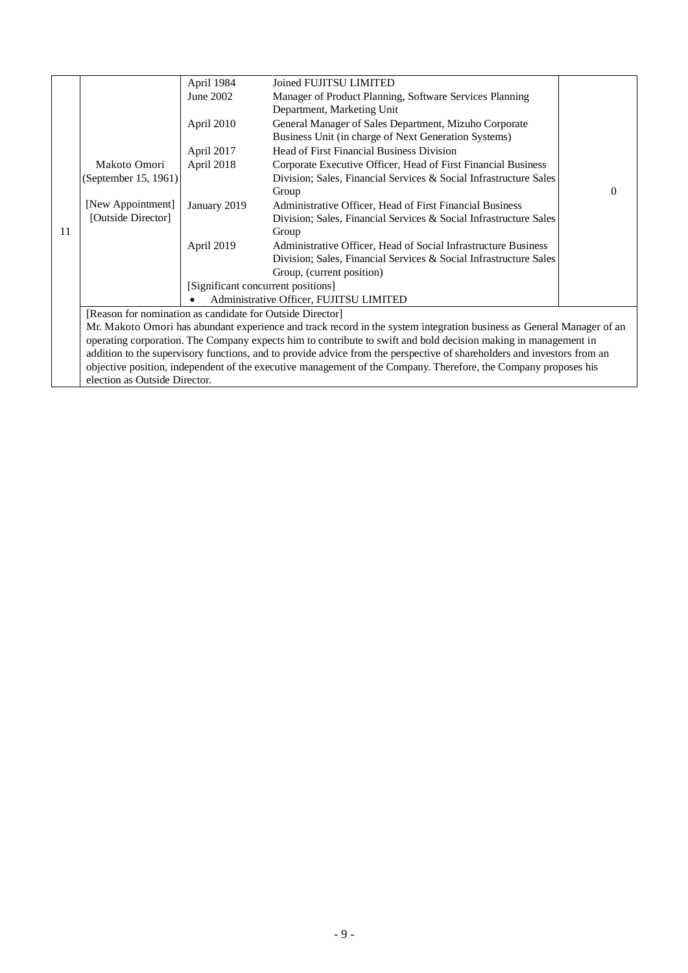|    |                                                           | April 1984                                                                                                              | Joined FUJITSU LIMITED                                                                                                |   |  |  |
|----|-----------------------------------------------------------|-------------------------------------------------------------------------------------------------------------------------|-----------------------------------------------------------------------------------------------------------------------|---|--|--|
|    |                                                           | June 2002                                                                                                               | Manager of Product Planning, Software Services Planning                                                               |   |  |  |
|    |                                                           |                                                                                                                         | Department, Marketing Unit                                                                                            |   |  |  |
|    |                                                           | April 2010                                                                                                              | General Manager of Sales Department, Mizuho Corporate                                                                 |   |  |  |
|    |                                                           |                                                                                                                         | Business Unit (in charge of Next Generation Systems)                                                                  |   |  |  |
|    |                                                           | April 2017                                                                                                              | Head of First Financial Business Division                                                                             |   |  |  |
|    | Makoto Omori                                              | April 2018                                                                                                              | Corporate Executive Officer, Head of First Financial Business                                                         |   |  |  |
|    | (September 15, 1961)                                      |                                                                                                                         | Division; Sales, Financial Services & Social Infrastructure Sales                                                     |   |  |  |
|    |                                                           |                                                                                                                         | Group                                                                                                                 | 0 |  |  |
|    | [New Appointment]                                         | January 2019                                                                                                            | Administrative Officer, Head of First Financial Business                                                              |   |  |  |
|    | [Outside Director]                                        |                                                                                                                         | Division; Sales, Financial Services & Social Infrastructure Sales                                                     |   |  |  |
| 11 |                                                           |                                                                                                                         | Group                                                                                                                 |   |  |  |
|    |                                                           | April 2019                                                                                                              | Administrative Officer, Head of Social Infrastructure Business                                                        |   |  |  |
|    |                                                           |                                                                                                                         | Division; Sales, Financial Services & Social Infrastructure Sales                                                     |   |  |  |
|    |                                                           |                                                                                                                         | Group, (current position)                                                                                             |   |  |  |
|    |                                                           | [Significant concurrent positions]                                                                                      |                                                                                                                       |   |  |  |
|    | Administrative Officer, FUJITSU LIMITED                   |                                                                                                                         |                                                                                                                       |   |  |  |
|    | [Reason for nomination as candidate for Outside Director] |                                                                                                                         |                                                                                                                       |   |  |  |
|    |                                                           |                                                                                                                         | Mr. Makoto Omori has abundant experience and track record in the system integration business as General Manager of an |   |  |  |
|    |                                                           | operating corporation. The Company expects him to contribute to swift and bold decision making in management in         |                                                                                                                       |   |  |  |
|    |                                                           | addition to the supervisory functions, and to provide advice from the perspective of shareholders and investors from an |                                                                                                                       |   |  |  |
|    |                                                           |                                                                                                                         | objective position, independent of the executive management of the Company. Therefore, the Company proposes his       |   |  |  |
|    | election as Outside Director.                             |                                                                                                                         |                                                                                                                       |   |  |  |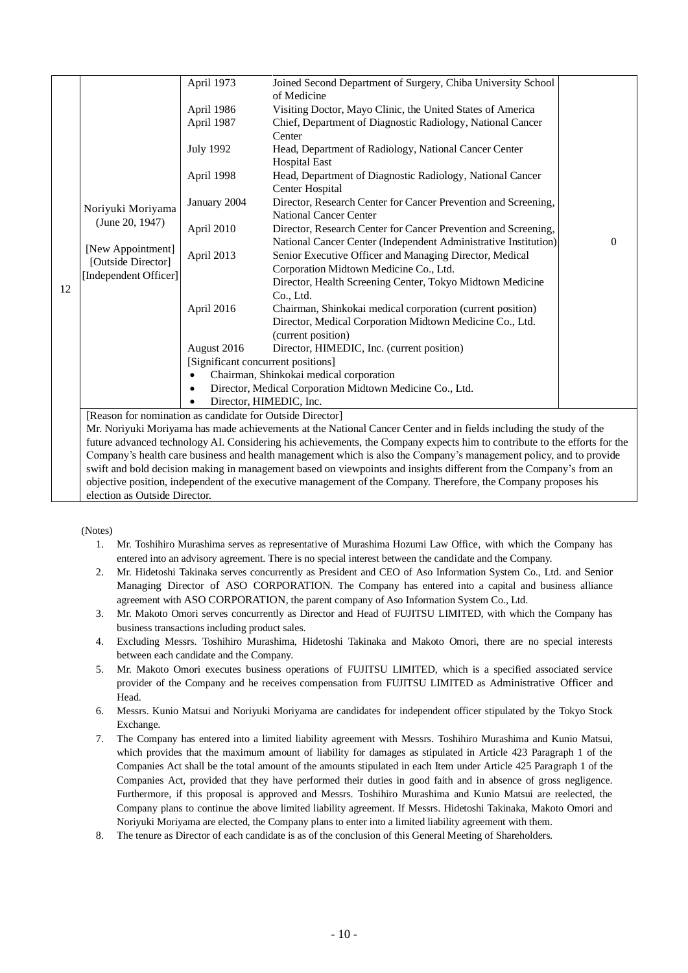|    |                                                                                                                           | April 1973                                               | Joined Second Department of Surgery, Chiba University School<br>of Medicine                                        |   |  |  |
|----|---------------------------------------------------------------------------------------------------------------------------|----------------------------------------------------------|--------------------------------------------------------------------------------------------------------------------|---|--|--|
|    |                                                                                                                           |                                                          |                                                                                                                    |   |  |  |
|    |                                                                                                                           | April 1986                                               | Visiting Doctor, Mayo Clinic, the United States of America                                                         |   |  |  |
|    |                                                                                                                           | April 1987                                               | Chief, Department of Diagnostic Radiology, National Cancer                                                         |   |  |  |
|    |                                                                                                                           |                                                          | Center                                                                                                             |   |  |  |
|    |                                                                                                                           | <b>July 1992</b>                                         | Head, Department of Radiology, National Cancer Center                                                              |   |  |  |
|    |                                                                                                                           |                                                          | <b>Hospital East</b>                                                                                               |   |  |  |
|    |                                                                                                                           | April 1998                                               | Head, Department of Diagnostic Radiology, National Cancer<br>Center Hospital                                       |   |  |  |
|    |                                                                                                                           | January 2004                                             | Director, Research Center for Cancer Prevention and Screening,                                                     |   |  |  |
|    | Noriyuki Moriyama                                                                                                         |                                                          | National Cancer Center                                                                                             |   |  |  |
|    | (June 20, 1947)                                                                                                           | April 2010                                               | Director, Research Center for Cancer Prevention and Screening,                                                     |   |  |  |
|    |                                                                                                                           |                                                          | National Cancer Center (Independent Administrative Institution)                                                    | 0 |  |  |
|    | [New Appointment]                                                                                                         | April 2013                                               | Senior Executive Officer and Managing Director, Medical                                                            |   |  |  |
|    | [Outside Director]                                                                                                        |                                                          | Corporation Midtown Medicine Co., Ltd.                                                                             |   |  |  |
|    | [Independent Officer]                                                                                                     |                                                          | Director, Health Screening Center, Tokyo Midtown Medicine                                                          |   |  |  |
| 12 |                                                                                                                           |                                                          | Co., Ltd.                                                                                                          |   |  |  |
|    |                                                                                                                           | April 2016                                               | Chairman, Shinkokai medical corporation (current position)                                                         |   |  |  |
|    |                                                                                                                           |                                                          | Director, Medical Corporation Midtown Medicine Co., Ltd.                                                           |   |  |  |
|    |                                                                                                                           |                                                          | (current position)                                                                                                 |   |  |  |
|    |                                                                                                                           | August 2016                                              | Director, HIMEDIC, Inc. (current position)                                                                         |   |  |  |
|    |                                                                                                                           | [Significant concurrent positions]                       |                                                                                                                    |   |  |  |
|    |                                                                                                                           | Chairman, Shinkokai medical corporation                  |                                                                                                                    |   |  |  |
|    |                                                                                                                           | Director, Medical Corporation Midtown Medicine Co., Ltd. |                                                                                                                    |   |  |  |
|    |                                                                                                                           | Director, HIMEDIC, Inc.                                  |                                                                                                                    |   |  |  |
|    | [Reason for nomination as candidate for Outside Director]                                                                 |                                                          |                                                                                                                    |   |  |  |
|    |                                                                                                                           |                                                          | Mr. Noriyuki Moriyama has made achievements at the National Cancer Center and in fields including the study of the |   |  |  |
|    | future advanced technology AI. Considering his achievements, the Company expects him to contribute to the efforts for the |                                                          |                                                                                                                    |   |  |  |
|    |                                                                                                                           |                                                          | Company's health care business and health management which is also the Company's management policy, and to provide |   |  |  |
|    | swift and bold decision making in management based on viewpoints and insights different from the Company's from an        |                                                          |                                                                                                                    |   |  |  |
|    |                                                                                                                           |                                                          | objective position, independent of the executive management of the Company. Therefore, the Company proposes his    |   |  |  |

election as Outside Director.

(Notes)

- 1. Mr. Toshihiro Murashima serves as representative of Murashima Hozumi Law Office, with which the Company has entered into an advisory agreement. There is no special interest between the candidate and the Company.
- 2. Mr. Hidetoshi Takinaka serves concurrently as President and CEO of Aso Information System Co., Ltd. and Senior Managing Director of ASO CORPORATION. The Company has entered into a capital and business alliance agreement with ASO CORPORATION, the parent company of Aso Information System Co., Ltd.
- 3. Mr. Makoto Omori serves concurrently as Director and Head of FUJITSU LIMITED, with which the Company has business transactions including product sales.
- 4. Excluding Messrs. Toshihiro Murashima, Hidetoshi Takinaka and Makoto Omori, there are no special interests between each candidate and the Company.
- 5. Mr. Makoto Omori executes business operations of FUJITSU LIMITED, which is a specified associated service provider of the Company and he receives compensation from FUJITSU LIMITED as Administrative Officer and Head.
- 6. Messrs. Kunio Matsui and Noriyuki Moriyama are candidates for independent officer stipulated by the Tokyo Stock Exchange.
- 7. The Company has entered into a limited liability agreement with Messrs. Toshihiro Murashima and Kunio Matsui, which provides that the maximum amount of liability for damages as stipulated in Article 423 Paragraph 1 of the Companies Act shall be the total amount of the amounts stipulated in each Item under Article 425 Paragraph 1 of the Companies Act, provided that they have performed their duties in good faith and in absence of gross negligence. Furthermore, if this proposal is approved and Messrs. Toshihiro Murashima and Kunio Matsui are reelected, the Company plans to continue the above limited liability agreement. If Messrs. Hidetoshi Takinaka, Makoto Omori and Noriyuki Moriyama are elected, the Company plans to enter into a limited liability agreement with them.
- 8. The tenure as Director of each candidate is as of the conclusion of this General Meeting of Shareholders.